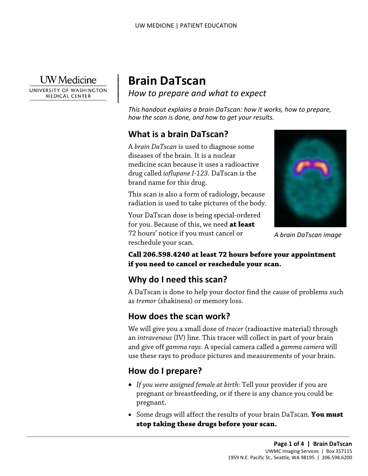**UW** Medicine

|

 $\parallel$ 

UNIVERSITY OF WASHINGTON **MEDICAL CENTER** 

# **Brain DaTscan**

*How to prepare and what to expect* 

*This handout explains a brain DaTscan: how it works, how to prepare, how the scan is done, and how to get your results.* 

# **What is a brain DaTscan?**

 medicine scan because it uses a radioactive brand name for this drug. A *brain DaTscan* is used to diagnose some diseases of the brain. It is a nuclear drug called *ioflupane I-123*. DaTscan is the

radiation is used to take pictures of the body. This scan is also a form of radiology, because

Your DaTscan dose is being special-ordered for you. Because of this, we need **at least**  72 hours' notice if you must cancel or reschedule your scan.



 **if you need to cancel or reschedule your scan. Call 206.598.4240 at least 72 hours before your appointment** 

# **Why do I need this scan?**

 as *tremor* (shakiness) or memory loss. A DaTscan is done to help your doctor find the cause of problems such

# **How does the scan work?**

 $\_$  , and the set of the set of the set of the set of the set of the set of the set of the set of the set of the set of the set of the set of the set of the set of the set of the set of the set of the set of the set of th

 and give off *gamma rays.* A special camera called a *gamma camera* will We will give you a small dose of *tracer* (radioactive material) through an *intravenous* (IV) line. This tracer will collect in part of your brain use these rays to produce pictures and measurements of your brain. **stop to the set of these drugs before your scan. A** brain DaTscan image chedule your scan.<br> **11 206.598.4240 at least 72 hours before your appointment**<br> **hy do I need this scan?**<br> **hy do I need this scan?**<br> **hy do I nee** 

# **How do I prepare?**

- *If you were assigned female at birth:* Tell your provider if you are pregnant or breastfeeding, or if there is any chance you could be pregnant.
- stop taking these drugs before your scan. • Some drugs will affect the results of your brain DaTscan. **You must**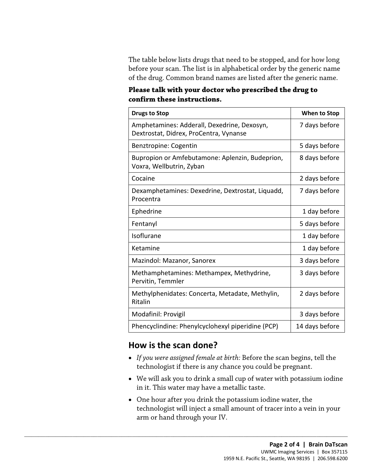The table below lists drugs that need to be stopped, and for how long before your scan. The list is in alphabetical order by the generic name of the drug. Common brand names are listed after the generic name.

 **Please talk with your doctor who prescribed the drug to confirm these instructions.** 

| <b>Drugs to Stop</b>                                                                  | When to Stop   |
|---------------------------------------------------------------------------------------|----------------|
| Amphetamines: Adderall, Dexedrine, Dexosyn,<br>Dextrostat, Didrex, ProCentra, Vynanse | 7 days before  |
| Benztropine: Cogentin                                                                 | 5 days before  |
| Bupropion or Amfebutamone: Aplenzin, Budeprion,<br>Voxra, Wellbutrin, Zyban           | 8 days before  |
| Cocaine                                                                               | 2 days before  |
| Dexamphetamines: Dexedrine, Dextrostat, Liquadd,<br>Procentra                         | 7 days before  |
| Ephedrine                                                                             | 1 day before   |
| Fentanyl                                                                              | 5 days before  |
| Isoflurane                                                                            | 1 day before   |
| Ketamine                                                                              | 1 day before   |
| Mazindol: Mazanor, Sanorex                                                            | 3 days before  |
| Methamphetamines: Methampex, Methydrine,<br>Pervitin, Temmler                         | 3 days before  |
| Methylphenidates: Concerta, Metadate, Methylin,<br>Ritalin                            | 2 days before  |
| Modafinil: Provigil                                                                   | 3 days before  |
| Phencyclindine: Phenylcyclohexyl piperidine (PCP)                                     | 14 days before |

### **How is the scan done?**

 $\_$  ,  $\_$  ,  $\_$  ,  $\_$  ,  $\_$  ,  $\_$  ,  $\_$  ,  $\_$  ,  $\_$  ,  $\_$  ,  $\_$  ,  $\_$  ,  $\_$  ,  $\_$  ,  $\_$  ,  $\_$  ,  $\_$  ,  $\_$  ,  $\_$  ,  $\_$  ,  $\_$  ,  $\_$  ,  $\_$  ,  $\_$  ,  $\_$  ,  $\_$  ,  $\_$  ,  $\_$  ,  $\_$  ,  $\_$  ,  $\_$  ,  $\_$  ,  $\_$  ,  $\_$  ,  $\_$  ,  $\_$  ,  $\_$  ,

- • *If you were assigned female at birth:* Before the scan begins, tell the technologist if there is any chance you could be pregnant.
- We will ask you to drink a small cup of water with potassium iodine in it. This water may have a metallic taste.
- • One hour after you drink the potassium iodine water, the technologist will inject a small amount of tracer into a vein in your arm or hand through your IV.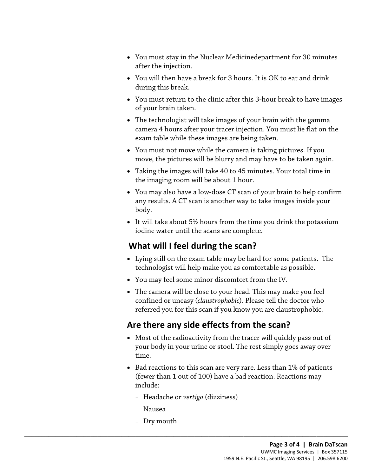- You must stay in the Nuclear Medicinedepartment for 30 minutes after the injection.
- You will then have a break for 3 hours. It is OK to eat and drink during this break.
- • You must return to the clinic after this 3-hour break to have images of your brain taken.
- camera 4 hours after your tracer injection. You must lie flat on the • The technologist will take images of your brain with the gamma exam table while these images are being taken.
- You must not move while the camera is taking pictures. If you move, the pictures will be blurry and may have to be taken again.
- Taking the images will take 40 to 45 minutes. Your total time in the imaging room will be about 1 hour.
- You may also have a low-dose CT scan of your brain to help confirm any results. A CT scan is another way to take images inside your body.
- It will take about 5½ hours from the time you drink the potassium iodine water until the scans are complete.

# **What will I feel during the scan?**

- technologist will help make you as comfortable as possible. • Lying still on the exam table may be hard for some patients. The
- You may feel some minor discomfort from the IV.
- The camera will be close to your head. This may make you feel confined or uneasy (*claustrophobic*). Please tell the doctor who referred you for this scan if you know you are claustrophobic.

# **Are there any side effects from the scan?**

- Most of the radioactivity from the tracer will quickly pass out of your body in your urine or stool. The rest simply goes away over time.
- Bad reactions to this scan are very rare. Less than 1% of patients (fewer than 1 out of 100) have a bad reaction. Reactions may include:
	- Headache or *vertigo* (dizziness)

 $\_$  ,  $\_$  ,  $\_$  ,  $\_$  ,  $\_$  ,  $\_$  ,  $\_$  ,  $\_$  ,  $\_$  ,  $\_$  ,  $\_$  ,  $\_$  ,  $\_$  ,  $\_$  ,  $\_$  ,  $\_$  ,  $\_$  ,  $\_$  ,  $\_$  ,  $\_$  ,  $\_$  ,  $\_$  ,  $\_$  ,  $\_$  ,  $\_$  ,  $\_$  ,  $\_$  ,  $\_$  ,  $\_$  ,  $\_$  ,  $\_$  ,  $\_$  ,  $\_$  ,  $\_$  ,  $\_$  ,  $\_$  ,  $\_$  ,

- Nausea
- Dry mouth